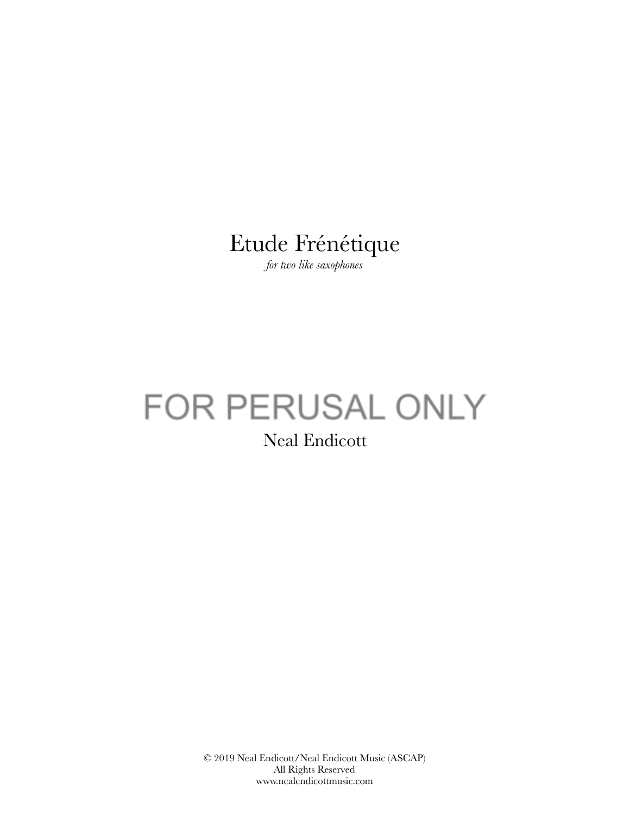## Etude Frénétique

*for two like saxophones* 

# FOR PERUSAL ONLY

Neal Endicott

© 2019 Neal Endicott/Neal Endicott Music (ASCAP) All Rights Reserved www.nealendicottmusic.com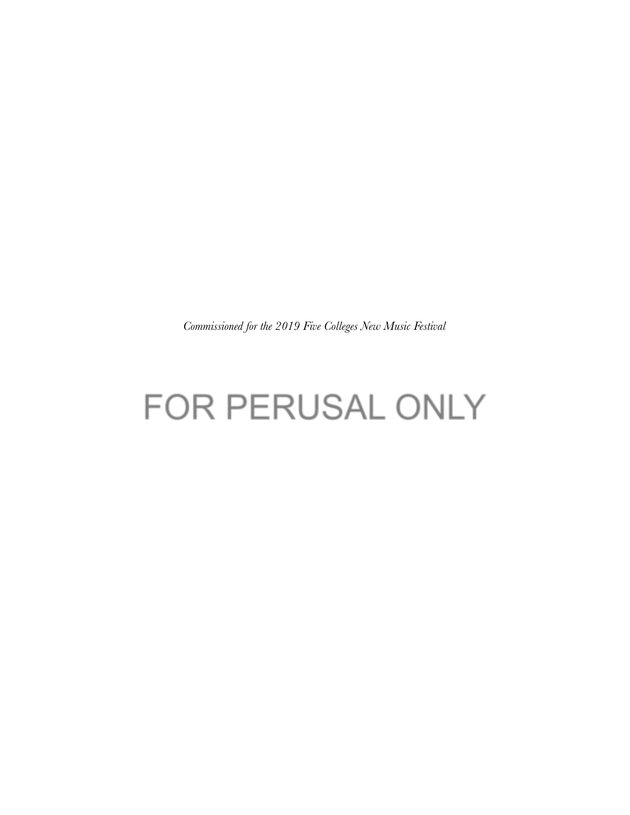*Commissioned for the 2019 Five Colleges New Music Festival* 

## FOR PERUSAL ONLY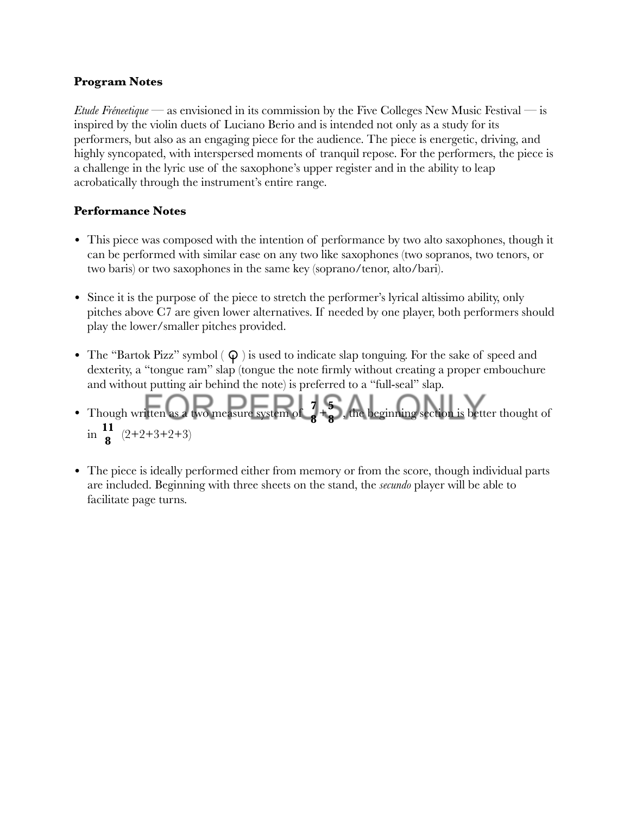#### **Program Notes**

*Etude Fréneetique* — as envisioned in its commission by the Five Colleges New Music Festival — is inspired by the violin duets of Luciano Berio and is intended not only as a study for its performers, but also as an engaging piece for the audience. The piece is energetic, driving, and highly syncopated, with interspersed moments of tranquil repose. For the performers, the piece is a challenge in the lyric use of the saxophone's upper register and in the ability to leap acrobatically through the instrument's entire range.

#### **Performance Notes**

- This piece was composed with the intention of performance by two alto saxophones, though it can be performed with similar ease on any two like saxophones (two sopranos, two tenors, or two baris) or two saxophones in the same key (soprano/tenor, alto/bari).
- Since it is the purpose of the piece to stretch the performer's lyrical altissimo ability, only pitches above C7 are given lower alternatives. If needed by one player, both performers should play the lower/smaller pitches provided.
- The "Bartok Pizz" symbol  $(Q)$  is used to indicate slap tonguing. For the sake of speed and dexterity, a "tongue ram" slap (tongue the note firmly without creating a proper embouchure and without putting air behind the note) is preferred to a "full-seal" slap.
- Though written as a two measure system of  $\frac{7}{8} + \frac{5}{8}$ , the beginning section is better thought of in  $\frac{11}{9}$   $(2+2+3+2+3)$ **8 8 8**
- The piece is ideally performed either from memory or from the score, though individual parts are included. Beginning with three sheets on the stand, the *secundo* player will be able to facilitate page turns.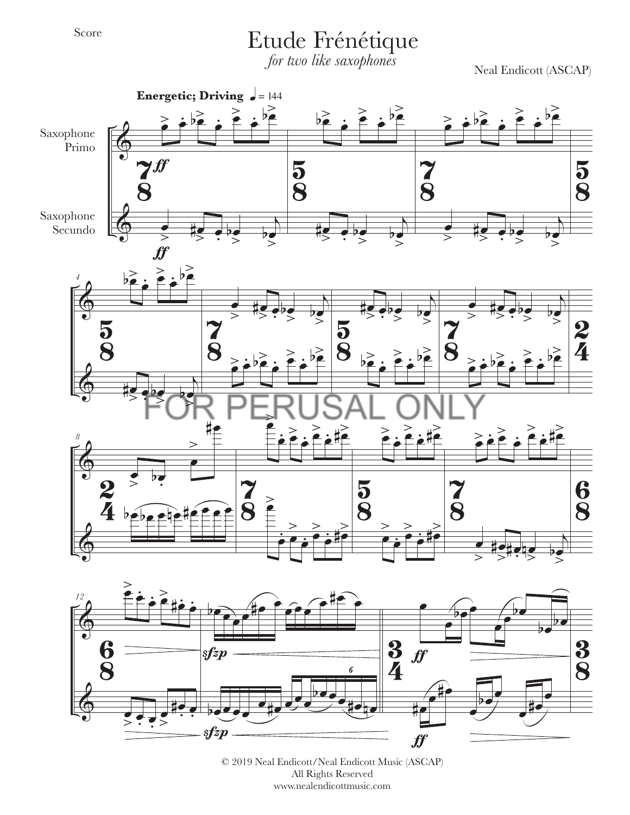### Etude Frénétique

*for two like saxophones*

Neal Endicott (ASCAP)



© 2019 Neal Endicott/Neal Endicott Music (ASCAP) All Rights Reserved www.nealendicottmusic.com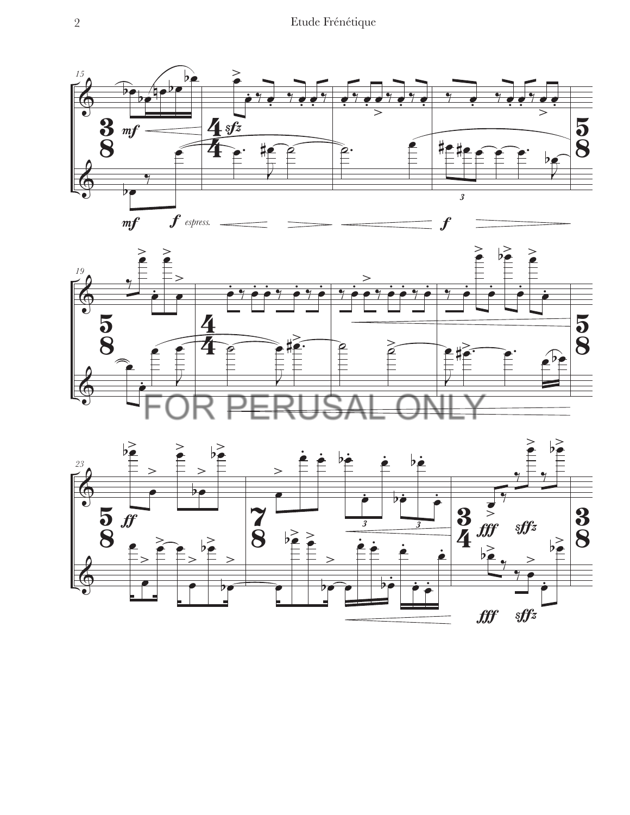



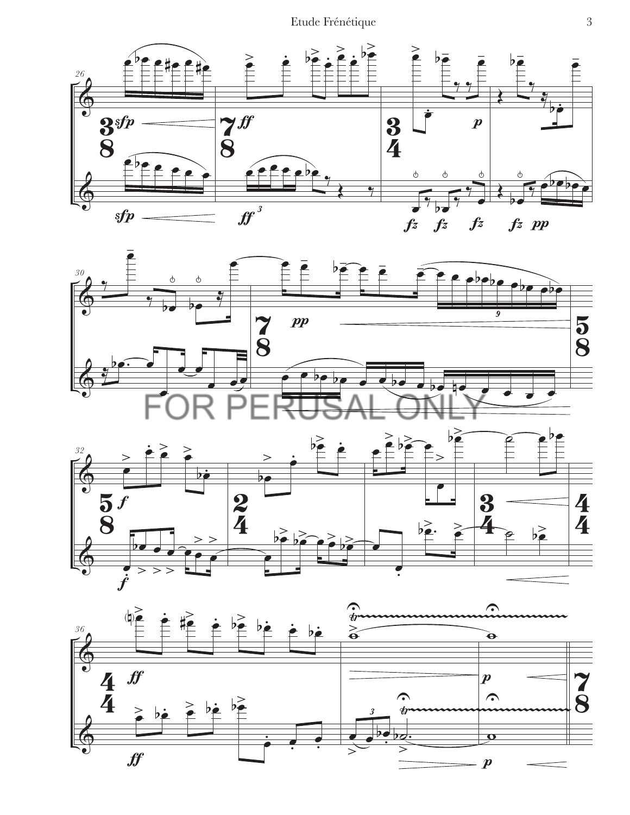Etude Frénétique 3







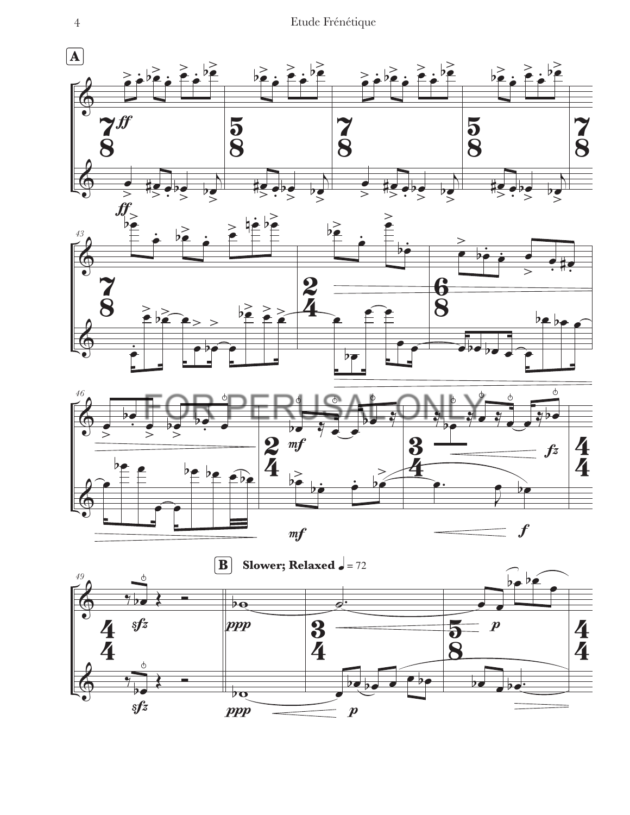4 Etude Frénétique

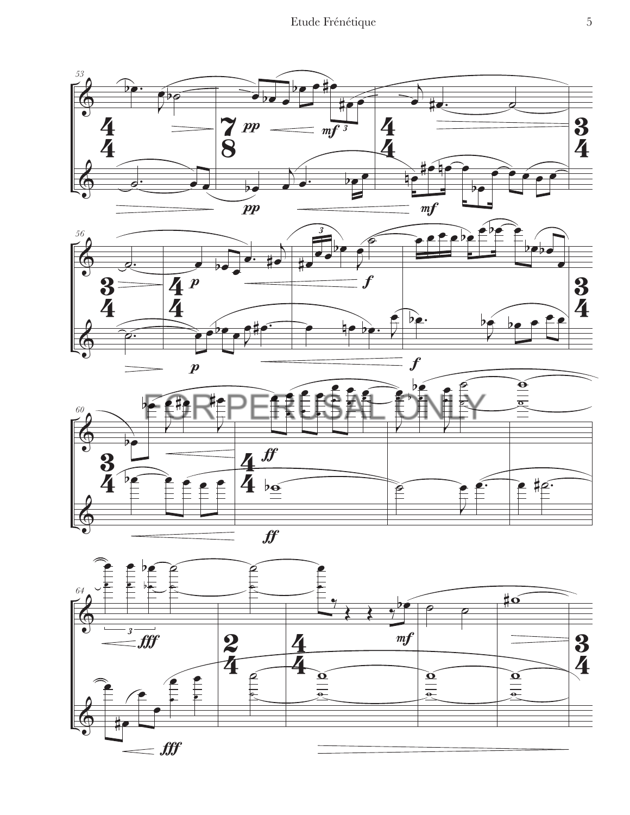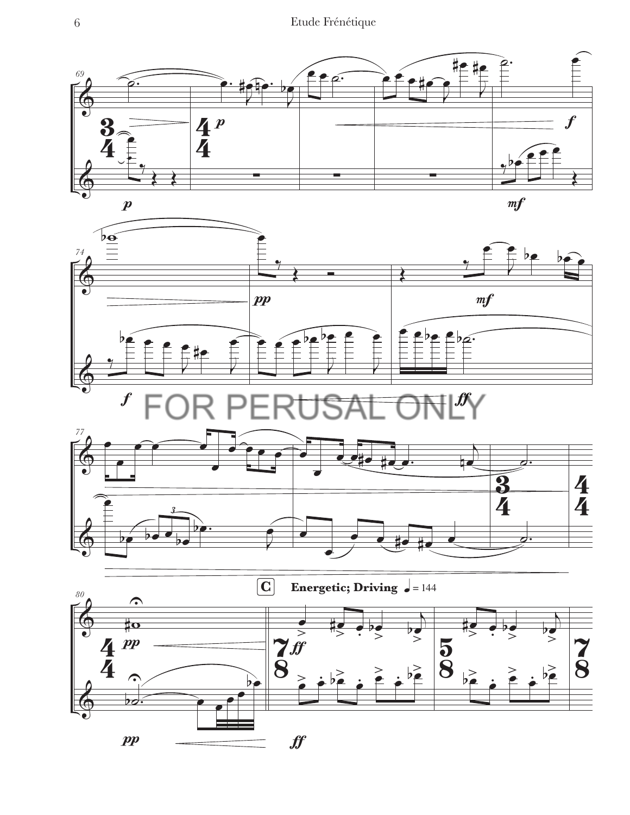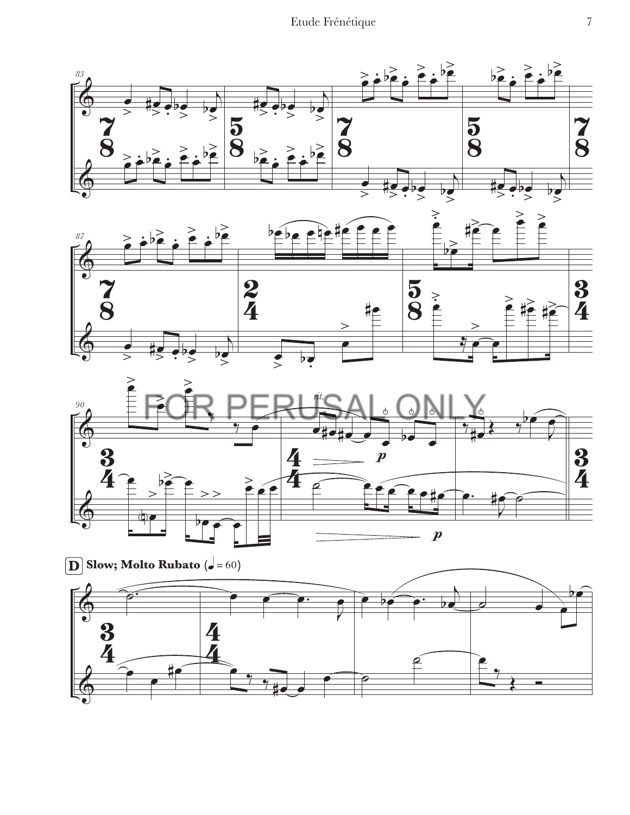





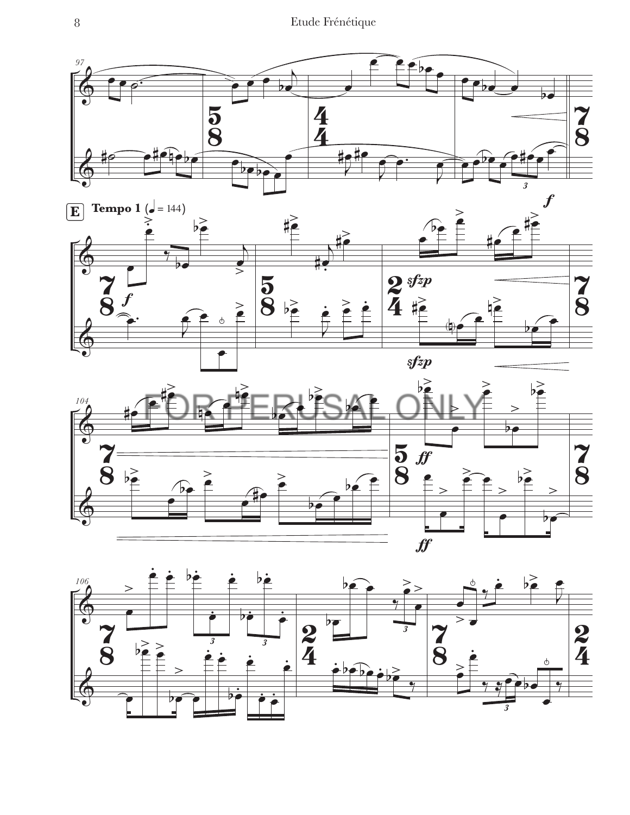